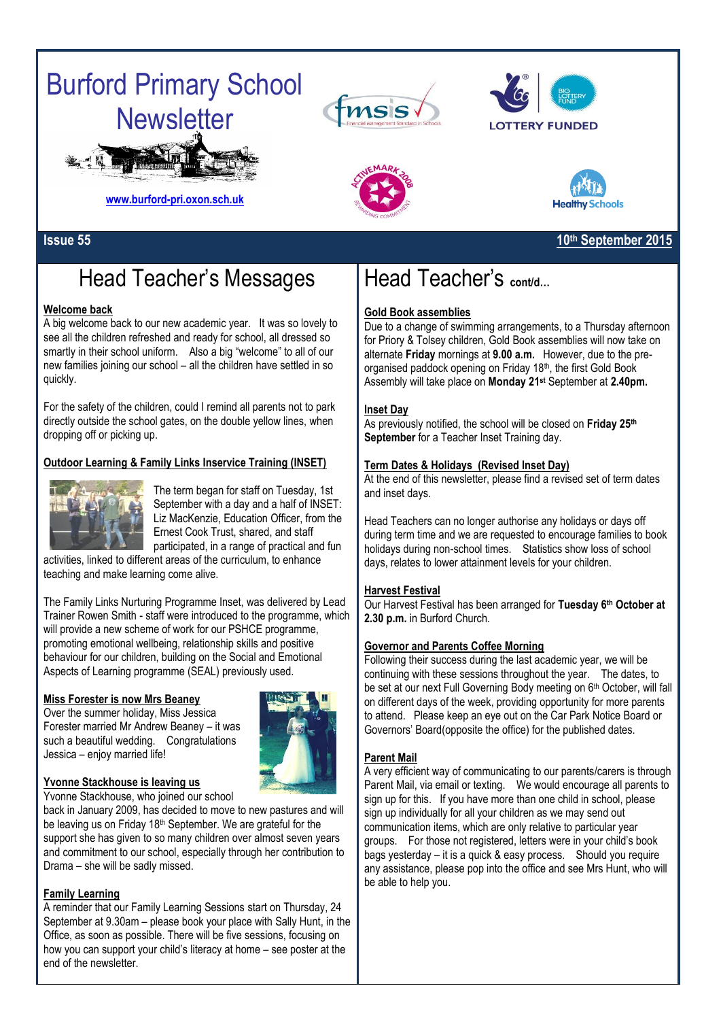# Burford Primary School **Newsletter**







# **Issue 55 10th September 2015**

**Healthy Schools** 

**[www.burford-pri.oxon.sch.uk](http://www.burford-pri.oxon.sch.uk/)**

# Head Teacher's Messages

# **Welcome back**

A big welcome back to our new academic year. It was so lovely to see all the children refreshed and ready for school, all dressed so smartly in their school uniform. Also a big "welcome" to all of our new families joining our school – all the children have settled in so quickly.

For the safety of the children, could I remind all parents not to park directly outside the school gates, on the double yellow lines, when dropping off or picking up.

# **Outdoor Learning & Family Links Inservice Training (INSET)**



The term began for staff on Tuesday, 1st September with a day and a half of INSET: Liz MacKenzie, Education Officer, from the Ernest Cook Trust, shared, and staff participated, in a range of practical and fun

activities, linked to different areas of the curriculum, to enhance teaching and make learning come alive.

The Family Links Nurturing Programme Inset, was delivered by Lead Trainer Rowen Smith - staff were introduced to the programme, which will provide a new scheme of work for our PSHCE programme, promoting emotional wellbeing, relationship skills and positive behaviour for our children, building on the Social and Emotional Aspects of Learning programme (SEAL) previously used.

## **Miss Forester is now Mrs Beaney**

Over the summer holiday, Miss Jessica Forester married Mr Andrew Beaney – it was such a beautiful wedding. Congratulations Jessica – enjoy married life!



## **Yvonne Stackhouse is leaving us**

Yvonne Stackhouse, who joined our school

back in January 2009, has decided to move to new pastures and will be leaving us on Friday 18<sup>th</sup> September. We are grateful for the support she has given to so many children over almost seven years and commitment to our school, especially through her contribution to Drama – she will be sadly missed.

## **Family Learning**

A reminder that our Family Learning Sessions start on Thursday, 24 September at 9.30am – please book your place with Sally Hunt, in the Office, as soon as possible. There will be five sessions, focusing on how you can support your child's literacy at home – see poster at the end of the newsletter.

# Head Teacher's **cont/d…**

## **Gold Book assemblies**

Due to a change of swimming arrangements, to a Thursday afternoon for Priory & Tolsey children, Gold Book assemblies will now take on alternate **Friday** mornings at **9.00 a.m.** However, due to the preorganised paddock opening on Friday 18th, the first Gold Book Assembly will take place on **Monday 21st** September at **2.40pm.**

## **Inset Day**

As previously notified, the school will be closed on **Friday 25th September** for a Teacher Inset Training day.

## **Term Dates & Holidays (Revised Inset Day)**

At the end of this newsletter, please find a revised set of term dates and inset days.

Head Teachers can no longer authorise any holidays or days off during term time and we are requested to encourage families to book holidays during non-school times. Statistics show loss of school days, relates to lower attainment levels for your children.

## **Harvest Festival**

Our Harvest Festival has been arranged for **Tuesday 6th October at 2.30 p.m.** in Burford Church.

## **Governor and Parents Coffee Morning**

Following their success during the last academic year, we will be continuing with these sessions throughout the year. The dates, to be set at our next Full Governing Body meeting on 6<sup>th</sup> October, will fall on different days of the week, providing opportunity for more parents to attend. Please keep an eye out on the Car Park Notice Board or Governors' Board(opposite the office) for the published dates.

## **Parent Mail**

A very efficient way of communicating to our parents/carers is through Parent Mail, via email or texting. We would encourage all parents to sign up for this. If you have more than one child in school, please sign up individually for all your children as we may send out communication items, which are only relative to particular year groups. For those not registered, letters were in your child's book bags yesterday – it is a quick & easy process. Should you require any assistance, please pop into the office and see Mrs Hunt, who will be able to help you.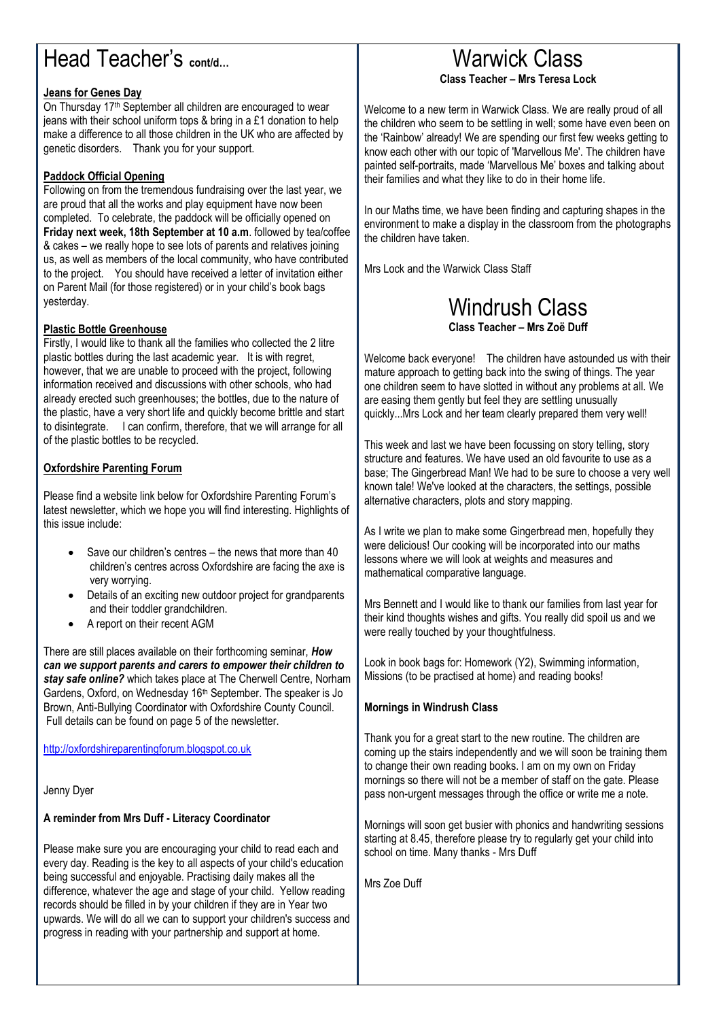# Head Teacher's **cont/d…**

# **Jeans for Genes Day**

On Thursday 17<sup>th</sup> September all children are encouraged to wear jeans with their school uniform tops & bring in a £1 donation to help make a difference to all those children in the UK who are affected by genetic disorders. Thank you for your support.

# **Paddock Official Opening**

Following on from the tremendous fundraising over the last year, we are proud that all the works and play equipment have now been completed. To celebrate, the paddock will be officially opened on **Friday next week, 18th September at 10 a.m**. followed by tea/coffee & cakes – we really hope to see lots of parents and relatives joining us, as well as members of the local community, who have contributed to the project. You should have received a letter of invitation either on Parent Mail (for those registered) or in your child's book bags yesterday.

# **Plastic Bottle Greenhouse**

Firstly, I would like to thank all the families who collected the 2 litre plastic bottles during the last academic year. It is with regret, however, that we are unable to proceed with the project, following information received and discussions with other schools, who had already erected such greenhouses; the bottles, due to the nature of the plastic, have a very short life and quickly become brittle and start to disintegrate. I can confirm, therefore, that we will arrange for all of the plastic bottles to be recycled.

# **Oxfordshire Parenting Forum**

Please find a website link below for Oxfordshire Parenting Forum's latest newsletter, which we hope you will find interesting. Highlights of this issue include:

- Save our children's centres the news that more than 40 children's centres across Oxfordshire are facing the axe is very worrying.
- Details of an exciting new outdoor project for grandparents and their toddler grandchildren.
- A report on their recent AGM

There are still places available on their forthcoming seminar, *How can we support parents and carers to empower their children to stay safe online?* which takes place at The Cherwell Centre, Norham Gardens, Oxford, on Wednesday 16<sup>th</sup> September. The speaker is Jo Brown, Anti-Bullying Coordinator with Oxfordshire County Council. Full details can be found on page 5 of the newsletter.

[http://oxfordshireparentingforum.blogspot.co.uk](http://oxfordshireparentingforum.blogspot.co.uk/)

Jenny Dyer

## **A reminder from Mrs Duff - Literacy Coordinator**

Please make sure you are encouraging your child to read each and every day. Reading is the key to all aspects of your child's education being successful and enjoyable. Practising daily makes all the difference, whatever the age and stage of your child. Yellow reading records should be filled in by your children if they are in Year two upwards. We will do all we can to support your children's success and progress in reading with your partnership and support at home.

# Warwick Class **Class Teacher – Mrs Teresa Lock**

Welcome to a new term in Warwick Class. We are really proud of all the children who seem to be settling in well; some have even been on the 'Rainbow' already! We are spending our first few weeks getting to know each other with our topic of 'Marvellous Me'. The children have painted self-portraits, made 'Marvellous Me' boxes and talking about their families and what they like to do in their home life.

In our Maths time, we have been finding and capturing shapes in the environment to make a display in the classroom from the photographs the children have taken.

Mrs Lock and the Warwick Class Staff

# Windrush Class **Class Teacher – Mrs Zoë Duff**

Welcome back everyone! The children have astounded us with their mature approach to getting back into the swing of things. The year one children seem to have slotted in without any problems at all. We are easing them gently but feel they are settling unusually quickly...Mrs Lock and her team clearly prepared them very well!

This week and last we have been focussing on story telling, story structure and features. We have used an old favourite to use as a base; The Gingerbread Man! We had to be sure to choose a very well known tale! We've looked at the characters, the settings, possible alternative characters, plots and story mapping.

As I write we plan to make some Gingerbread men, hopefully they were delicious! Our cooking will be incorporated into our maths lessons where we will look at weights and measures and mathematical comparative language.

Mrs Bennett and I would like to thank our families from last year for their kind thoughts wishes and gifts. You really did spoil us and we were really touched by your thoughtfulness.

Look in book bags for: Homework (Y2), Swimming information, Missions (to be practised at home) and reading books!

## **Mornings in Windrush Class**

Thank you for a great start to the new routine. The children are coming up the stairs independently and we will soon be training them to change their own reading books. I am on my own on Friday mornings so there will not be a member of staff on the gate. Please pass non-urgent messages through the office or write me a note.

Mornings will soon get busier with phonics and handwriting sessions starting at 8.45, therefore please try to regularly get your child into school on time. Many thanks - Mrs Duff

Mrs Zoe Duff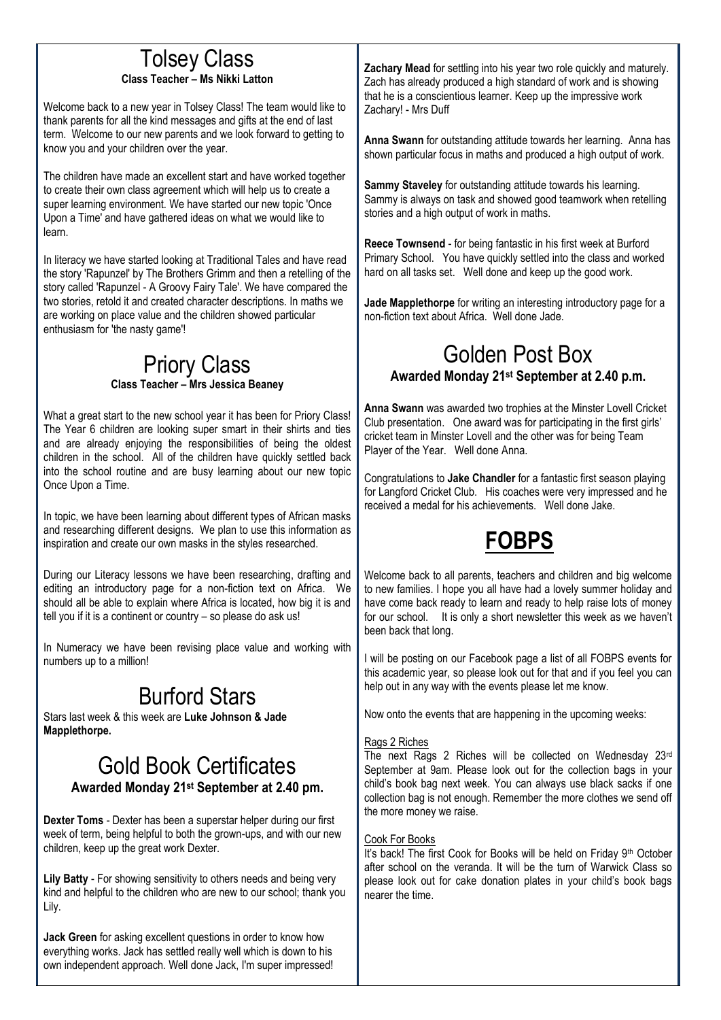# Tolsey Class

# **Class Teacher – Ms Nikki Latton**

Welcome back to a new year in Tolsey Class! The team would like to thank parents for all the kind messages and gifts at the end of last term. Welcome to our new parents and we look forward to getting to know you and your children over the year.

The children have made an excellent start and have worked together to create their own class agreement which will help us to create a super learning environment. We have started our new topic 'Once Upon a Time' and have gathered ideas on what we would like to learn.

In literacy we have started looking at Traditional Tales and have read the story 'Rapunzel' by The Brothers Grimm and then a retelling of the story called 'Rapunzel - A Groovy Fairy Tale'. We have compared the two stories, retold it and created character descriptions. In maths we are working on place value and the children showed particular enthusiasm for 'the nasty game'!

# Priory Class **Class Teacher – Mrs Jessica Beaney**

What a great start to the new school year it has been for Priory Class! The Year 6 children are looking super smart in their shirts and ties and are already enjoying the responsibilities of being the oldest children in the school. All of the children have quickly settled back into the school routine and are busy learning about our new topic Once Upon a Time.

In topic, we have been learning about different types of African masks and researching different designs. We plan to use this information as inspiration and create our own masks in the styles researched.

During our Literacy lessons we have been researching, drafting and editing an introductory page for a non-fiction text on Africa. We should all be able to explain where Africa is located, how big it is and tell you if it is a continent or country – so please do ask us!

In Numeracy we have been revising place value and working with numbers up to a million!

# Burford Stars

Stars last week & this week are **Luke Johnson & Jade Mapplethorpe.**

# Gold Book Certificates **Awarded Monday 21st September at 2.40 pm.**

**Dexter Toms** - Dexter has been a superstar helper during our first week of term, being helpful to both the grown-ups, and with our new children, keep up the great work Dexter.

**Lily Batty** - For showing sensitivity to others needs and being very kind and helpful to the children who are new to our school; thank you Lily.

**Jack Green** for asking excellent questions in order to know how everything works. Jack has settled really well which is down to his own independent approach. Well done Jack, I'm super impressed! **Zachary Mead** for settling into his year two role quickly and maturely. Zach has already produced a high standard of work and is showing that he is a conscientious learner. Keep up the impressive work Zachary! - Mrs Duff

**Anna Swann** for outstanding attitude towards her learning. Anna has shown particular focus in maths and produced a high output of work.

**Sammy Staveley** for outstanding attitude towards his learning. Sammy is always on task and showed good teamwork when retelling stories and a high output of work in maths.

**Reece Townsend** - for being fantastic in his first week at Burford Primary School. You have quickly settled into the class and worked hard on all tasks set. Well done and keep up the good work.

**Jade Mapplethorpe** for writing an interesting introductory page for a non-fiction text about Africa. Well done Jade.

# Golden Post Box **Awarded Monday 21st September at 2.40 p.m.**

**Anna Swann** was awarded two trophies at the Minster Lovell Cricket Club presentation. One award was for participating in the first girls' cricket team in Minster Lovell and the other was for being Team Player of the Year. Well done Anna.

Congratulations to **Jake Chandler** for a fantastic first season playing for Langford Cricket Club. His coaches were very impressed and he received a medal for his achievements. Well done Jake.

# **FOBPS**

Welcome back to all parents, teachers and children and big welcome to new families. I hope you all have had a lovely summer holiday and have come back ready to learn and ready to help raise lots of money for our school. It is only a short newsletter this week as we haven't been back that long.

I will be posting on our Facebook page a list of all FOBPS events for this academic year, so please look out for that and if you feel you can help out in any way with the events please let me know.

Now onto the events that are happening in the upcoming weeks:

# Rags 2 Riches

The next Rags 2 Riches will be collected on Wednesday 23rd September at 9am. Please look out for the collection bags in your child's book bag next week. You can always use black sacks if one collection bag is not enough. Remember the more clothes we send off the more money we raise.

# Cook For Books

It's back! The first Cook for Books will be held on Friday 9<sup>th</sup> October after school on the veranda. It will be the turn of Warwick Class so please look out for cake donation plates in your child's book bags nearer the time.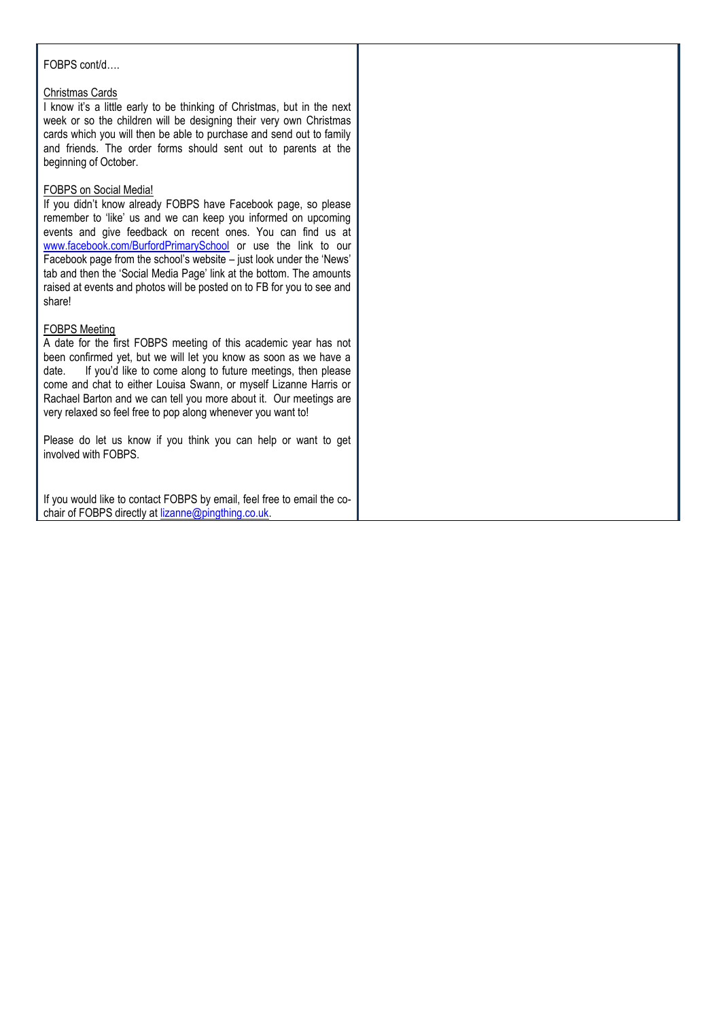### FOBPS cont/d….

#### Christmas Cards

I know it's a little early to be thinking of Christmas, but in the next week or so the children will be designing their very own Christmas cards which you will then be able to purchase and send out to family and friends. The order forms should sent out to parents at the beginning of October.

#### FOBPS on Social Media!

If you didn't know already FOBPS have Facebook page, so please remember to 'like' us and we can keep you informed on upcoming events and give feedback on recent ones. You can find us at [www.facebook.com/BurfordPrimarySchool](http://www.facebook.com/BurfordPrimarySchool) or use the link to our Facebook page from the school's website – just look under the 'News' tab and then the 'Social Media Page' link at the bottom. The amounts raised at events and photos will be posted on to FB for you to see and share!

#### FOBPS Meeting

A date for the first FOBPS meeting of this academic year has not been confirmed yet, but we will let you know as soon as we have a date. If you'd like to come along to future meetings, then please come and chat to either Louisa Swann, or myself Lizanne Harris or Rachael Barton and we can tell you more about it. Our meetings are very relaxed so feel free to pop along whenever you want to!

Please do let us know if you think you can help or want to get involved with FOBPS.

If you would like to contact FOBPS by email, feel free to email the cochair of FOBPS directly a[t lizanne@pingthing.co.uk.](mailto:lizanne@pingthing.co.uk)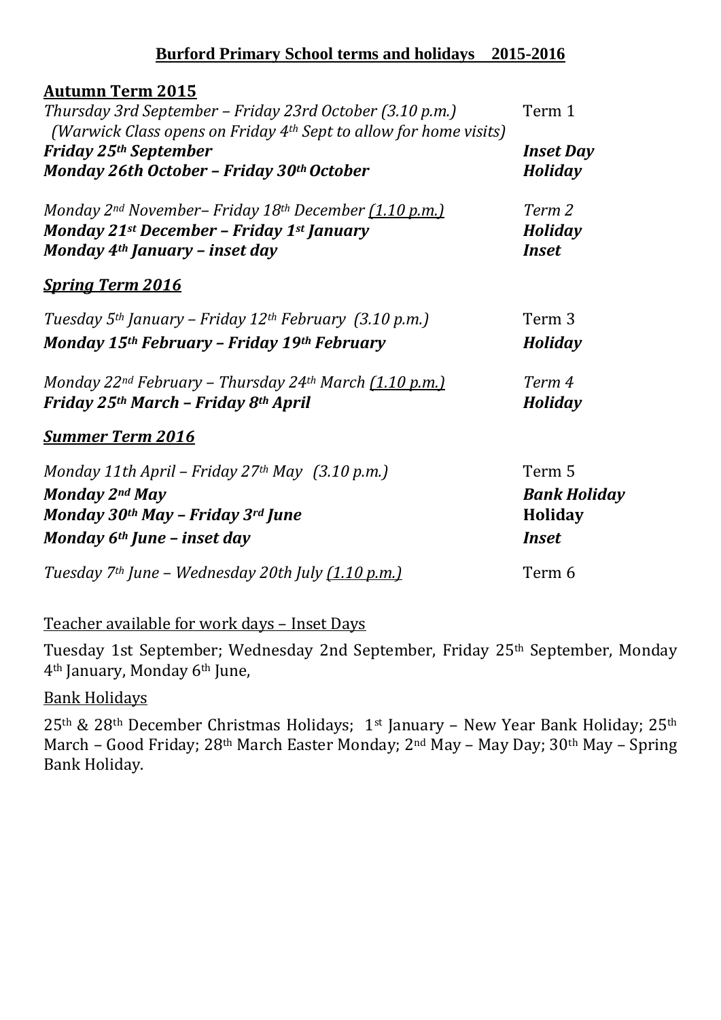# **Burford Primary School terms and holidays 2015-2016**

| <b>Autumn Term 2015</b>                                                               |                     |
|---------------------------------------------------------------------------------------|---------------------|
| Thursday 3rd September - Friday 23rd October (3.10 p.m.)                              | Term 1              |
| (Warwick Class opens on Friday $4th$ Sept to allow for home visits)                   |                     |
| <b>Friday 25th September</b>                                                          | <b>Inset Day</b>    |
| Monday 26th October - Friday 30th October                                             | Holiday             |
| Monday 2nd November- Friday 18th December (1.10 p.m.)                                 | Term 2              |
| Monday 21st December - Friday 1st January                                             | <b>Holiday</b>      |
| Monday 4 <sup>th</sup> January - inset day                                            | <b>Inset</b>        |
| <b>Spring Term 2016</b>                                                               |                     |
| Tuesday 5 <sup>th</sup> January – Friday 12 <sup>th</sup> February (3.10 p.m.)        | Term <sub>3</sub>   |
| Monday 15th February - Friday 19th February                                           | Holiday             |
| Monday 22 <sup>nd</sup> February – Thursday 24 <sup>th</sup> March <u>(1.10 p.m.)</u> | Term 4              |
| Friday 25th March - Friday 8th April                                                  | <b>Holiday</b>      |
| <u>Summer Term 2016</u>                                                               |                     |
| Monday 11th April – Friday 27 <sup>th</sup> May $(3.10 \text{ p.m.})$                 | Term 5              |
| Monday 2nd May                                                                        | <b>Bank Holiday</b> |
| Monday 30th May - Friday 3rd June                                                     | Holiday             |
| Monday 6 <sup>th</sup> June - inset day                                               | <b>Inset</b>        |
| Tuesday 7 <sup>th</sup> June - Wednesday 20th July (1.10 p.m.)                        | Term 6              |

# Teacher available for work days – Inset Days

Tuesday 1st September; Wednesday 2nd September, Friday 25th September, Monday 4th January, Monday 6th June,

# Bank Holidays

 $25<sup>th</sup>$  &  $28<sup>th</sup>$  December Christmas Holidays; 1<sup>st</sup> January – New Year Bank Holiday; 25<sup>th</sup> March – Good Friday; 28th March Easter Monday; 2nd May – May Day; 30th May – Spring Bank Holiday.